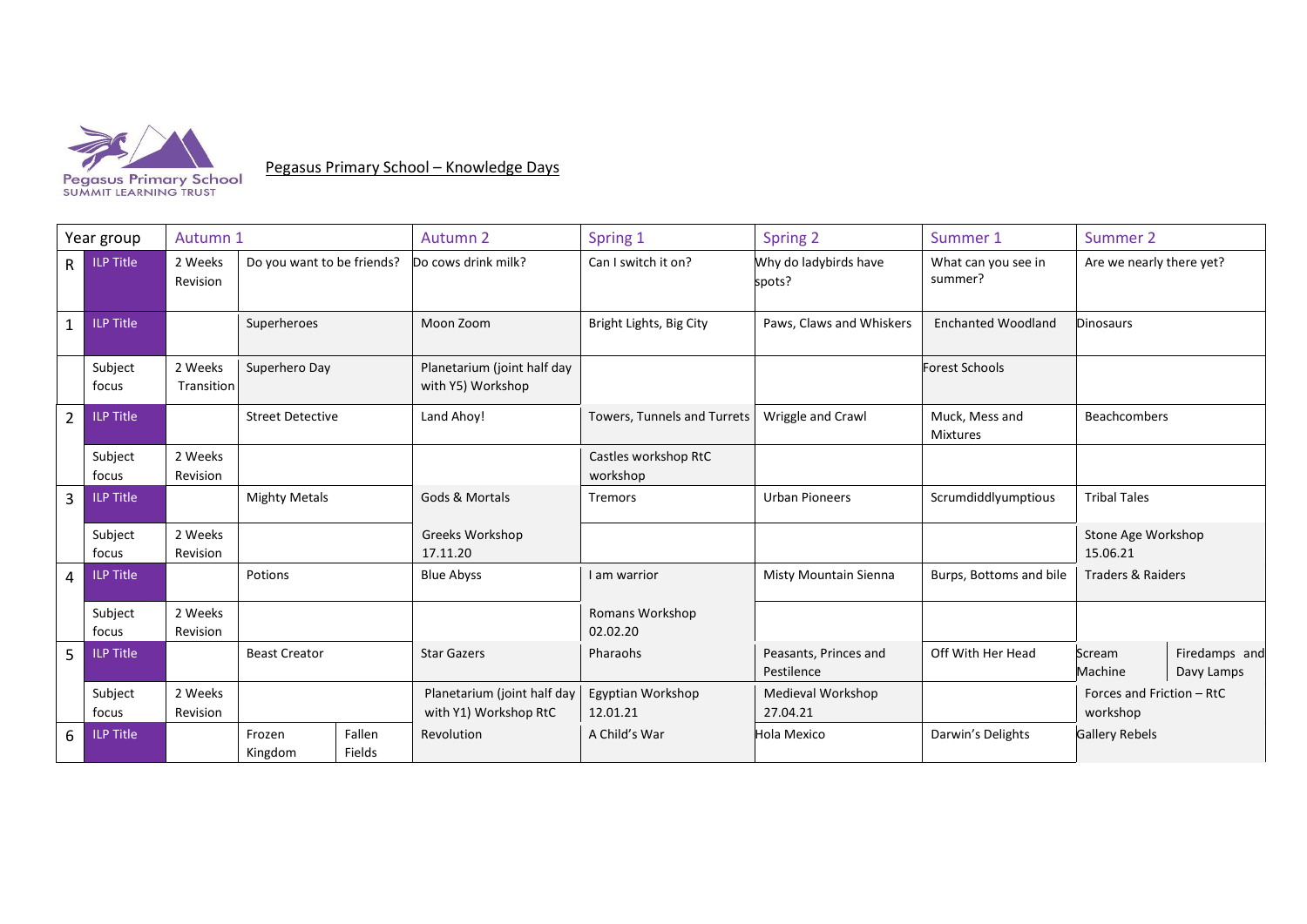

Pegasus Primary School – Knowledge Days

Year group | Autumn 1 March 1 Autumn 2 Spring 1 Spring 2 Spring 2 Summer 1 Summer 2 R ILP Title 2 Weeks Revision Do you want to be friends? Do cows drink milk? Can I switch it on? Why do ladybirds have spots? What can you see in summer? Are we nearly there yet? 1 ILP Title Superheroes Moon Zoom Bright Lights, Big City Paws, Claws and Whiskers Enchanted Woodland Dinosaurs Subject focus 2 Weeks Transition Superhero Day Planetarium (joint half day with Y5) Workshop Forest Schools 2 ILP Title Street Detective | Land Ahoy! Towers, Tunnels and Turrets | Wriggle and Crawl Muck, Mess and Mixtures Beachcombers Subject focus 2 Weeks Revision Castles workshop RtC workshop 3 ILP Title Mighty Metals (Gods & Mortals Tremors Superiors Purban Pioneers Scrumdiddlyumptious Tribal Tales Subject focus 2 Weeks Revision Greeks Workshop 17.11.20 Stone Age Workshop 15.06.21 4 ILP Title **Potions Follow Blue Abyss Forman Accord Misty Mountain Sienna** Burps, Bottoms and bile Traders & Raiders Subject focus 2 Weeks Revision Romans Workshop 02.02.20 5 ILP Title Beast Creator Star Gazers Pharaohs Peasants, Princes and Pestilence Off With Her Head Scream Machine Firedamps and Davy Lamps Subject focus 2 Weeks Revision Planetarium (joint half day with Y1) Workshop RtC Egyptian Workshop 12.01.21 Medieval Workshop 27.04.21 Forces and Friction – RtC workshop 6 ILP Title | Frozen Kingdom Fallen Fields Revolution A Child's War Hola Mexico Darwin's Delights Gallery Rebels